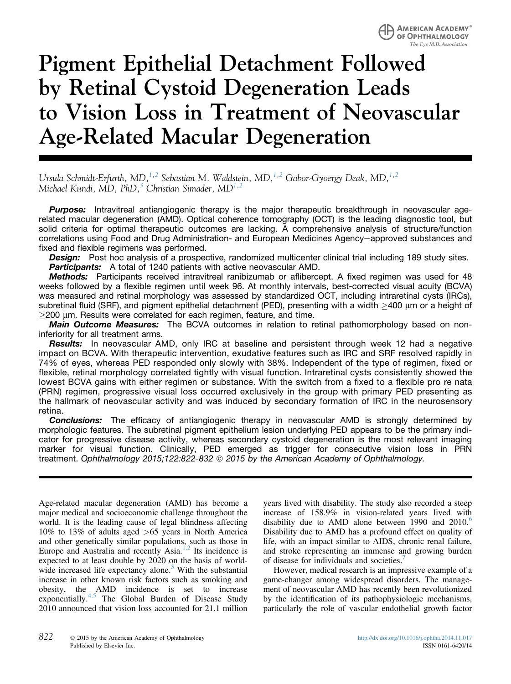# Pigment Epithelial Detachment Followed by Retinal Cystoid Degeneration Leads to Vision Loss in Treatment of Neovascular Age-Related Macular Degeneration

Ursula Schmidt-Erfurth, MD,<sup>[1,2](#page-10-0)</sup> Sebastian M. Waldstein, MD,<sup>1,2</sup> Gabor-Gyoergy Deak, MD,<sup>1,2</sup> Michael Kundi, MD, PhD,<sup>3</sup> Christian Simader, MD<sup>[1,2](#page-10-0)</sup>

**Purpose:** Intravitreal antiangiogenic therapy is the major therapeutic breakthrough in neovascular agerelated macular degeneration (AMD). Optical coherence tomography (OCT) is the leading diagnostic tool, but solid criteria for optimal therapeutic outcomes are lacking. A comprehensive analysis of structure/function correlations using Food and Drug Administration- and European Medicines Agency-approved substances and fixed and flexible regimens was performed.

**Design:** Post hoc analysis of a prospective, randomized multicenter clinical trial including 189 study sites. Participants: A total of 1240 patients with active neovascular AMD.

Methods: Participants received intravitreal ranibizumab or aflibercept. A fixed regimen was used for 48 weeks followed by a flexible regimen until week 96. At monthly intervals, best-corrected visual acuity (BCVA) was measured and retinal morphology was assessed by standardized OCT, including intraretinal cysts (IRCs), subretinal fluid (SRF), and pigment epithelial detachment (PED), presenting with a width  $>400$  µm or a height of  $\geq$ 200  $\mu$ m. Results were correlated for each regimen, feature, and time.

Main Outcome Measures: The BCVA outcomes in relation to retinal pathomorphology based on noninferiority for all treatment arms.

**Results:** In neovascular AMD, only IRC at baseline and persistent through week 12 had a negative impact on BCVA. With therapeutic intervention, exudative features such as IRC and SRF resolved rapidly in 74% of eyes, whereas PED responded only slowly with 38%. Independent of the type of regimen, fixed or flexible, retinal morphology correlated tightly with visual function. Intraretinal cysts consistently showed the lowest BCVA gains with either regimen or substance. With the switch from a fixed to a flexible pro re nata (PRN) regimen, progressive visual loss occurred exclusively in the group with primary PED presenting as the hallmark of neovascular activity and was induced by secondary formation of IRC in the neurosensory retina.

**Conclusions:** The efficacy of antiangiogenic therapy in neovascular AMD is strongly determined by morphologic features. The subretinal pigment epithelium lesion underlying PED appears to be the primary indicator for progressive disease activity, whereas secondary cystoid degeneration is the most relevant imaging marker for visual function. Clinically, PED emerged as trigger for consecutive vision loss in PRN treatment. Ophthalmology 2015;122:822-832 © 2015 by the American Academy of Ophthalmology.

Age-related macular degeneration (AMD) has become a major medical and socioeconomic challenge throughout the world. It is the leading cause of legal blindness affecting 10% to 13% of adults aged >65 years in North America and other genetically similar populations, such as those in Europe and Australia and recently Asia.<sup>[1,2](#page-9-0)</sup> Its incidence is expected to at least double by 2020 on the basis of worldwide increased life expectancy alone. $3$  With the substantial increase in other known risk factors such as smoking and obesity, the AMD incidence is set to increase exponentially.<sup>[4,5](#page-9-0)</sup> The Global Burden of Disease Study 2010 announced that vision loss accounted for 21.1 million

years lived with disability. The study also recorded a steep increase of 158.9% in vision-related years lived with disability due to AMD alone between 1990 and  $2010<sup>6</sup>$  $2010<sup>6</sup>$  $2010<sup>6</sup>$ Disability due to AMD has a profound effect on quality of life, with an impact similar to AIDS, chronic renal failure, and stroke representing an immense and growing burden of disease for individuals and societies.<sup>[7](#page-9-0)</sup>

However, medical research is an impressive example of a game-changer among widespread disorders. The management of neovascular AMD has recently been revolutionized by the identification of its pathophysiologic mechanisms, particularly the role of vascular endothelial growth factor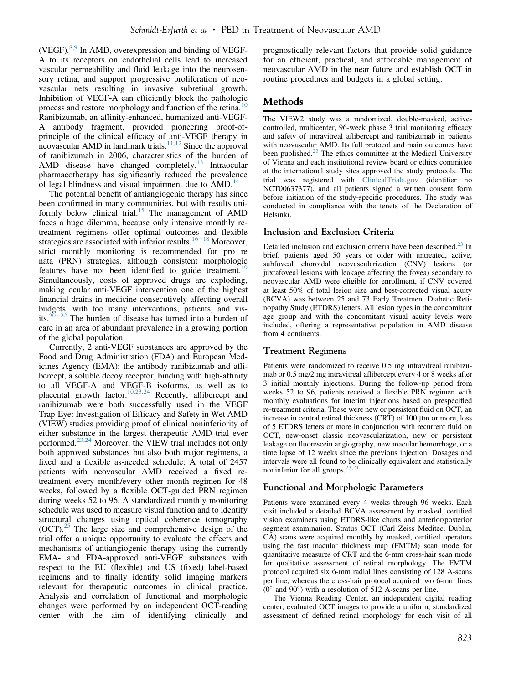(VEGF). $8,9$  In AMD, overexpression and binding of VEGF-A to its receptors on endothelial cells lead to increased vascular permeability and fluid leakage into the neurosensory retina, and support progressive proliferation of neovascular nets resulting in invasive subretinal growth. Inhibition of VEGF-A can efficiently block the pathologic process and restore morphology and function of the retina.<sup>[10](#page-9-0)</sup> Ranibizumab, an affinity-enhanced, humanized anti-VEGF-A antibody fragment, provided pioneering proof-ofprinciple of the clinical efficacy of anti-VEGF therapy in neovascular AMD in landmark trials.<sup>[11,12](#page-9-0)</sup> Since the approval of ranibizumab in 2006, characteristics of the burden of AMD disease have changed completely.<sup>[13](#page-9-0)</sup> Intraocular pharmacotherapy has significantly reduced the prevalence of legal blindness and visual impairment due to  $AMD$ .<sup>[14](#page-9-0)</sup>

The potential benefit of antiangiogenic therapy has since been confirmed in many communities, but with results uniformly below clinical trial.<sup>15</sup> The management of AMD faces a huge dilemma, because only intensive monthly retreatment regimens offer optimal outcomes and flexible strategies are associated with inferior results.<sup>[16](#page-9-0)-[18](#page-9-0)</sup> Moreover, strict monthly monitoring is recommended for pro re nata (PRN) strategies, although consistent morphologic features have not been identified to guide treatment.<sup>1</sup> Simultaneously, costs of approved drugs are exploding, making ocular anti-VEGF intervention one of the highest financial drains in medicine consecutively affecting overall budgets, with too many interventions, patients, and vis-its.<sup>[20](#page-9-0)–[22](#page-9-0)</sup> The burden of disease has turned into a burden of care in an area of abundant prevalence in a growing portion of the global population.

Currently, 2 anti-VEGF substances are approved by the Food and Drug Administration (FDA) and European Medicines Agency (EMA): the antibody ranibizumab and aflibercept, a soluble decoy receptor, binding with high-affinity to all VEGF-A and VEGF-B isoforms, as well as to placental growth factor.<sup>[10,23,24](#page-9-0)</sup> Recently, aflibercept and ranibizumab were both successfully used in the VEGF Trap-Eye: Investigation of Efficacy and Safety in Wet AMD (VIEW) studies providing proof of clinical noninferiority of either substance in the largest therapeutic AMD trial ever performed.<sup>[23,24](#page-9-0)</sup> Moreover, the VIEW trial includes not only both approved substances but also both major regimens, a fixed and a flexible as-needed schedule: A total of 2457 patients with neovascular AMD received a fixed retreatment every month/every other month regimen for 48 weeks, followed by a flexible OCT-guided PRN regimen during weeks 52 to 96. A standardized monthly monitoring schedule was used to measure visual function and to identify structural changes using optical coherence tomography  $(OCT)$ <sup>[25](#page-9-0)</sup> The large size and comprehensive design of the trial offer a unique opportunity to evaluate the effects and mechanisms of antiangiogenic therapy using the currently EMA- and FDA-approved anti-VEGF substances with respect to the EU (flexible) and US (fixed) label-based regimens and to finally identify solid imaging markers relevant for therapeutic outcomes in clinical practice. Analysis and correlation of functional and morphologic changes were performed by an independent OCT-reading center with the aim of identifying clinically and

prognostically relevant factors that provide solid guidance for an efficient, practical, and affordable management of neovascular AMD in the near future and establish OCT in routine procedures and budgets in a global setting.

# Methods

The VIEW2 study was a randomized, double-masked, activecontrolled, multicenter, 96-week phase 3 trial monitoring efficacy and safety of intravitreal aflibercept and ranibizumab in patients with neovascular AMD. Its full protocol and main outcomes have been published. $^{23}$  $^{23}$  $^{23}$  The ethics committee at the Medical University of Vienna and each institutional review board or ethics committee at the international study sites approved the study protocols. The trial was registered with [ClinicalTrials.gov](http://ClinicalTrials.gov) (identifier no NCT00637377), and all patients signed a written consent form before initiation of the study-specific procedures. The study was conducted in compliance with the tenets of the Declaration of Helsinki.

# Inclusion and Exclusion Criteria

Detailed inclusion and exclusion criteria have been described.<sup>[23](#page-9-0)</sup> In brief, patients aged 50 years or older with untreated, active, subfoveal choroidal neovascularization (CNV) lesions (or juxtafoveal lesions with leakage affecting the fovea) secondary to neovascular AMD were eligible for enrollment, if CNV covered at least 50% of total lesion size and best-corrected visual acuity (BCVA) was between 25 and 73 Early Treatment Diabetic Retinopathy Study (ETDRS) letters. All lesion types in the concomitant age group and with the concomitant visual acuity levels were included, offering a representative population in AMD disease from 4 continents.

# Treatment Regimens

Patients were randomized to receive 0.5 mg intravitreal ranibizumab or 0.5 mg/2 mg intravitreal aflibercept every 4 or 8 weeks after 3 initial monthly injections. During the follow-up period from weeks 52 to 96, patients received a flexible PRN regimen with monthly evaluations for interim injections based on prespecified re-treatment criteria. These were new or persistent fluid on OCT, an increase in central retinal thickness (CRT) of  $100 \mu m$  or more, loss of 5 ETDRS letters or more in conjunction with recurrent fluid on OCT, new-onset classic neovascularization, new or persistent leakage on fluorescein angiography, new macular hemorrhage, or a time lapse of 12 weeks since the previous injection. Dosages and intervals were all found to be clinically equivalent and statistically noninferior for all groups. $^{23}$ 

# Functional and Morphologic Parameters

Patients were examined every 4 weeks through 96 weeks. Each visit included a detailed BCVA assessment by masked, certified vision examiners using ETDRS-like charts and anterior/posterior segment examination. Stratus OCT (Carl Zeiss Meditec, Dublin, CA) scans were acquired monthly by masked, certified operators using the fast macular thickness map (FMTM) scan mode for quantitative measures of CRT and the 6-mm cross-hair scan mode for qualitative assessment of retinal morphology. The FMTM protocol acquired six 6-mm radial lines consisting of 128 A-scans per line, whereas the cross-hair protocol acquired two 6-mm lines  $(0^{\circ}$  and  $90^{\circ})$  with a resolution of 512 A-scans per line.

The Vienna Reading Center, an independent digital reading center, evaluated OCT images to provide a uniform, standardized assessment of defined retinal morphology for each visit of all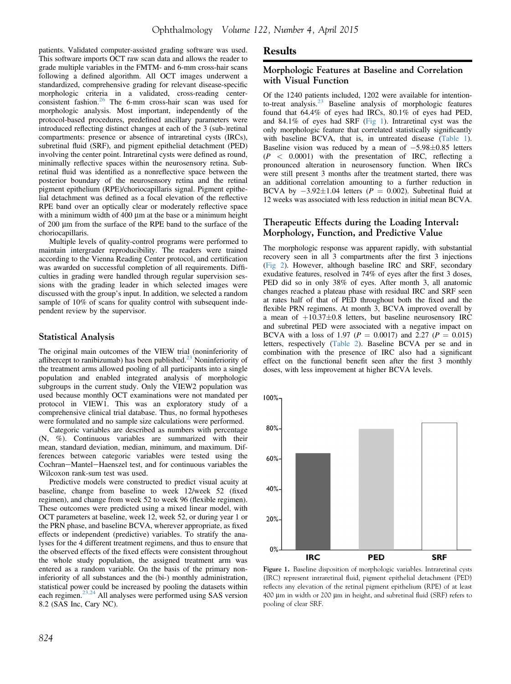patients. Validated computer-assisted grading software was used. This software imports OCT raw scan data and allows the reader to grade multiple variables in the FMTM- and 6-mm cross-hair scans following a defined algorithm. All OCT images underwent a standardized, comprehensive grading for relevant disease-specific morphologic criteria in a validated, cross-reading center-consistent fashion.<sup>[26](#page-9-0)</sup> The 6-mm cross-hair scan was used for morphologic analysis. Most important, independently of the protocol-based procedures, predefined ancillary parameters were introduced reflecting distinct changes at each of the 3 (sub-)retinal compartments: presence or absence of intraretinal cysts (IRCs), subretinal fluid (SRF), and pigment epithelial detachment (PED) involving the center point. Intraretinal cysts were defined as round, minimally reflective spaces within the neurosensory retina. Subretinal fluid was identified as a nonreflective space between the posterior boundary of the neurosensory retina and the retinal pigment epithelium (RPE)/choriocapillaris signal. Pigment epithelial detachment was defined as a focal elevation of the reflective RPE band over an optically clear or moderately reflective space with a minimum width of  $400 \mu m$  at the base or a minimum height of 200 mm from the surface of the RPE band to the surface of the choriocapillaris.

Multiple levels of quality-control programs were performed to maintain intergrader reproducibility. The readers were trained according to the Vienna Reading Center protocol, and certification was awarded on successful completion of all requirements. Difficulties in grading were handled through regular supervision sessions with the grading leader in which selected images were discussed with the group's input. In addition, we selected a random sample of 10% of scans for quality control with subsequent independent review by the supervisor.

# Statistical Analysis

The original main outcomes of the VIEW trial (noninferiority of aflibercept to ranibizumab) has been published. $^{23}$  Noninferiority of the treatment arms allowed pooling of all participants into a single population and enabled integrated analysis of morphologic subgroups in the current study. Only the VIEW2 population was used because monthly OCT examinations were not mandated per protocol in VIEW1. This was an exploratory study of a comprehensive clinical trial database. Thus, no formal hypotheses were formulated and no sample size calculations were performed.

Categoric variables are described as numbers with percentage (N, %). Continuous variables are summarized with their mean, standard deviation, median, minimum, and maximum. Differences between categoric variables were tested using the Cochran-Mantel-Haenszel test, and for continuous variables the Wilcoxon rank-sum test was used.

Predictive models were constructed to predict visual acuity at baseline, change from baseline to week 12/week 52 (fixed regimen), and change from week 52 to week 96 (flexible regimen). These outcomes were predicted using a mixed linear model, with OCT parameters at baseline, week 12, week 52, or during year 1 or the PRN phase, and baseline BCVA, wherever appropriate, as fixed effects or independent (predictive) variables. To stratify the analyses for the 4 different treatment regimens, and thus to ensure that the observed effects of the fixed effects were consistent throughout the whole study population, the assigned treatment arm was entered as a random variable. On the basis of the primary noninferiority of all substances and the (bi-) monthly administration, statistical power could be increased by pooling the datasets within each regimen[.23,24](#page-9-0) All analyses were performed using SAS version 8.2 (SAS Inc, Cary NC).

# **Results**

## Morphologic Features at Baseline and Correlation with Visual Function

Of the 1240 patients included, 1202 were available for intentionto-treat analysis.[23](#page-9-0) Baseline analysis of morphologic features found that 64.4% of eyes had IRCs, 80.1% of eyes had PED, and 84.1% of eyes had SRF (Fig 1). Intraretinal cyst was the only morphologic feature that correlated statistically significantly with baseline BCVA, that is, in untreated disease [\(Table 1](#page-3-0)). Baseline vision was reduced by a mean of  $-5.98\pm0.85$  letters  $(P < 0.0001)$  with the presentation of IRC, reflecting a pronounced alteration in neurosensory function. When IRCs were still present 3 months after the treatment started, there was an additional correlation amounting to a further reduction in BCVA by  $-3.92 \pm 1.04$  letters ( $P = 0.002$ ). Subretinal fluid at 12 weeks was associated with less reduction in initial mean BCVA.

# Therapeutic Effects during the Loading Interval: Morphology, Function, and Predictive Value

The morphologic response was apparent rapidly, with substantial recovery seen in all 3 compartments after the first 3 injections [\(Fig 2](#page-3-0)). However, although baseline IRC and SRF, secondary exudative features, resolved in 74% of eyes after the first 3 doses, PED did so in only 38% of eyes. After month 3, all anatomic changes reached a plateau phase with residual IRC and SRF seen at rates half of that of PED throughout both the fixed and the flexible PRN regimens. At month 3, BCVA improved overall by a mean of  $+10.37\pm0.8$  letters, but baseline neurosensory IRC and subretinal PED were associated with a negative impact on BCVA with a loss of 1.97 ( $P = 0.0017$ ) and 2.27 ( $P = 0.015$ ) letters, respectively ([Table 2](#page-4-0)). Baseline BCVA per se and in combination with the presence of IRC also had a significant effect on the functional benefit seen after the first 3 monthly doses, with less improvement at higher BCVA levels.



Figure 1. Baseline disposition of morphologic variables. Intraretinal cysts (IRC) represent intraretinal fluid, pigment epithelial detachment (PED) reflects any elevation of the retinal pigment epithelium (RPE) of at least 400 µm in width or 200 µm in height, and subretinal fluid (SRF) refers to pooling of clear SRF.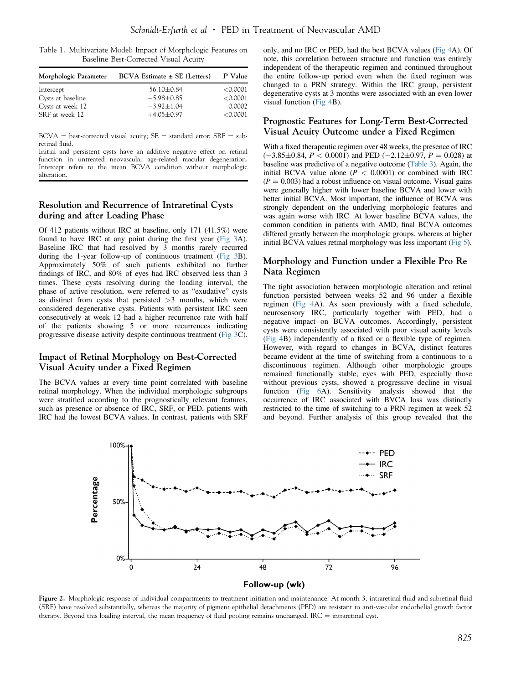<span id="page-3-0"></span>Table 1. Multivariate Model: Impact of Morphologic Features on Baseline Best-Corrected Visual Acuity

| $BCVA$ Estimate $\pm$ SE (Letters) | P Value  |  |
|------------------------------------|----------|--|
| $56.10 \pm 0.84$                   | < 0.0001 |  |
| $-5.98\pm0.85$                     | < 0.0001 |  |
| $-3.92 \pm 1.04$                   | 0.0002   |  |
| $+4.05\pm0.97$                     | < 0.0001 |  |
|                                    |          |  |

 $BCVA = best-corrected visual acuity; SE = standard error; SRF = sub$ retinal fluid.

Initial and persistent cysts have an additive negative effect on retinal function in untreated neovascular age-related macular degeneration. Intercept refers to the mean BCVA condition without morphologic alteration.

# Resolution and Recurrence of Intraretinal Cysts during and after Loading Phase

Of 412 patients without IRC at baseline, only 171 (41.5%) were found to have IRC at any point during the first year ([Fig 3A](#page-4-0)). Baseline IRC that had resolved by 3 months rarely recurred during the 1-year follow-up of continuous treatment [\(Fig 3](#page-4-0)B). Approximately 50% of such patients exhibited no further findings of IRC, and 80% of eyes had IRC observed less than 3 times. These cysts resolving during the loading interval, the phase of active resolution, were referred to as "exudative" cysts as distinct from cysts that persisted  $>3$  months, which were considered degenerative cysts. Patients with persistent IRC seen consecutively at week 12 had a higher recurrence rate with half of the patients showing 5 or more recurrences indicating progressive disease activity despite continuous treatment [\(Fig 3](#page-4-0)C).

#### Impact of Retinal Morphology on Best-Corrected Visual Acuity under a Fixed Regimen

The BCVA values at every time point correlated with baseline retinal morphology. When the individual morphologic subgroups were stratified according to the prognostically relevant features, such as presence or absence of IRC, SRF, or PED, patients with IRC had the lowest BCVA values. In contrast, patients with SRF

only, and no IRC or PED, had the best BCVA values [\(Fig 4](#page-5-0)A). Of note, this correlation between structure and function was entirely independent of the therapeutic regimen and continued throughout the entire follow-up period even when the fixed regimen was changed to a PRN strategy. Within the IRC group, persistent degenerative cysts at 3 months were associated with an even lower visual function [\(Fig 4](#page-5-0)B).

### Prognostic Features for Long-Term Best-Corrected Visual Acuity Outcome under a Fixed Regimen

With a fixed therapeutic regimen over 48 weeks, the presence of IRC  $(-3.85\pm0.84, P < 0.0001)$  and PED  $(-2.12\pm0.97, P = 0.028)$  at baseline was predictive of a negative outcome [\(Table 3](#page-5-0)). Again, the initial BCVA value alone ( $P < 0.0001$ ) or combined with IRC  $(P = 0.003)$  had a robust influence on visual outcome. Visual gains were generally higher with lower baseline BCVA and lower with better initial BCVA. Most important, the influence of BCVA was strongly dependent on the underlying morphologic features and was again worse with IRC. At lower baseline BCVA values, the common condition in patients with AMD, final BCVA outcomes differed greatly between the morphologic groups, whereas at higher initial BCVA values retinal morphology was less important ([Fig 5](#page-6-0)).

## Morphology and Function under a Flexible Pro Re Nata Regimen

The tight association between morphologic alteration and retinal function persisted between weeks 52 and 96 under a flexible regimen [\(Fig 4A](#page-5-0)). As seen previously with a fixed schedule, neurosensory IRC, particularly together with PED, had a negative impact on BCVA outcomes. Accordingly, persistent cysts were consistently associated with poor visual acuity levels [\(Fig 4](#page-5-0)B) independently of a fixed or a flexible type of regimen. However, with regard to changes in BCVA, distinct features became evident at the time of switching from a continuous to a discontinuous regimen. Although other morphologic groups remained functionally stable, eyes with PED, especially those without previous cysts, showed a progressive decline in visual function ([Fig 6A](#page-6-0)). Sensitivity analysis showed that the occurrence of IRC associated with BVCA loss was distinctly restricted to the time of switching to a PRN regimen at week 52 and beyond. Further analysis of this group revealed that the



Figure 2. Morphologic response of individual compartments to treatment initiation and maintenance. At month 3, intraretinal fluid and subretinal fluid (SRF) have resolved substantially, whereas the majority of pigment epithelial detachments (PED) are resistant to anti-vascular endothelial growth factor therapy. Beyond this loading interval, the mean frequency of fluid pooling remains unchanged. IRC  $=$  intraretinal cyst.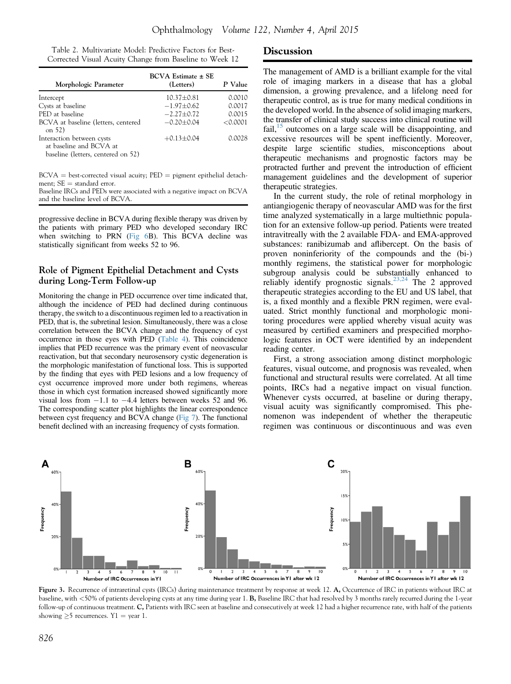<span id="page-4-0"></span>

| Table 2. Multivariate Model: Predictive Factors for Best- |  |  |
|-----------------------------------------------------------|--|--|
| Corrected Visual Acuity Change from Baseline to Week 12   |  |  |

| Morphologic Parameter                                                                      | $BCVA$ Estimate $\pm$ SE<br>(Letters) | P Value  |
|--------------------------------------------------------------------------------------------|---------------------------------------|----------|
| Intercept                                                                                  | $10.37 \pm 0.81$                      | 0.0010   |
| Cysts at baseline                                                                          | $-1.97\pm0.62$                        | 0.0017   |
| PED at baseline                                                                            | $-2.27 + 0.72$                        | 0.0015   |
| BCVA at baseline (letters, centered<br>on 52)                                              | $-0.20 \pm 0.04$                      | < 0.0001 |
| Interaction between cysts<br>at baseline and BCVA at<br>baseline (letters, centered on 52) | $+0.13 \pm 0.04$                      | 0.0028   |

 $BCVA = best-corrected visual acuity; PED = pigment epithelial detach$ ment;  $SE =$  standard error.

Baseline IRCs and PEDs were associated with a negative impact on BCVA and the baseline level of BCVA.

progressive decline in BCVA during flexible therapy was driven by the patients with primary PED who developed secondary IRC when switching to PRN ([Fig 6B](#page-6-0)). This BCVA decline was statistically significant from weeks 52 to 96.

### Role of Pigment Epithelial Detachment and Cysts during Long-Term Follow-up

Monitoring the change in PED occurrence over time indicated that, although the incidence of PED had declined during continuous therapy, the switch to a discontinuous regimen led to a reactivation in PED, that is, the subretinal lesion. Simultaneously, there was a close correlation between the BCVA change and the frequency of cyst occurrence in those eyes with PED [\(Table 4\)](#page-7-0). This coincidence implies that PED recurrence was the primary event of neovascular reactivation, but that secondary neurosensory cystic degeneration is the morphologic manifestation of functional loss. This is supported by the finding that eyes with PED lesions and a low frequency of cyst occurrence improved more under both regimens, whereas those in which cyst formation increased showed significantly more visual loss from  $-1.1$  to  $-4.4$  letters between weeks 52 and 96. The corresponding scatter plot highlights the linear correspondence between cyst frequency and BCVA change ([Fig 7\)](#page-7-0). The functional benefit declined with an increasing frequency of cysts formation.

#### **Discussion**

The management of AMD is a brilliant example for the vital role of imaging markers in a disease that has a global dimension, a growing prevalence, and a lifelong need for therapeutic control, as is true for many medical conditions in the developed world. In the absence of solid imaging markers, the transfer of clinical study success into clinical routine will fail, $15$  outcomes on a large scale will be disappointing, and excessive resources will be spent inefficiently. Moreover, despite large scientific studies, misconceptions about therapeutic mechanisms and prognostic factors may be protracted further and prevent the introduction of efficient management guidelines and the development of superior therapeutic strategies.

In the current study, the role of retinal morphology in antiangiogenic therapy of neovascular AMD was for the first time analyzed systematically in a large multiethnic population for an extensive follow-up period. Patients were treated intravitreally with the 2 available FDA- and EMA-approved substances: ranibizumab and aflibercept. On the basis of proven noninferiority of the compounds and the (bi-) monthly regimens, the statistical power for morphologic subgroup analysis could be substantially enhanced to reliably identify prognostic signals.<sup>[23,24](#page-9-0)</sup> The 2 approved therapeutic strategies according to the EU and US label, that is, a fixed monthly and a flexible PRN regimen, were evaluated. Strict monthly functional and morphologic monitoring procedures were applied whereby visual acuity was measured by certified examiners and prespecified morphologic features in OCT were identified by an independent reading center.

First, a strong association among distinct morphologic features, visual outcome, and prognosis was revealed, when functional and structural results were correlated. At all time points, IRCs had a negative impact on visual function. Whenever cysts occurred, at baseline or during therapy, visual acuity was significantly compromised. This phenomenon was independent of whether the therapeutic regimen was continuous or discontinuous and was even



Figure 3. Recurrence of intraretinal cysts (IRCs) during maintenance treatment by response at week 12. A, Occurrence of IRC in patients without IRC at baseline, with <50% of patients developing cysts at any time during year 1. B, Baseline IRC that had resolved by 3 months rarely recurred during the 1-year follow-up of continuous treatment. C, Patients with IRC seen at baseline and consecutively at week 12 had a higher recurrence rate, with half of the patients showing  $\geq 5$  recurrences. Y1 = year 1.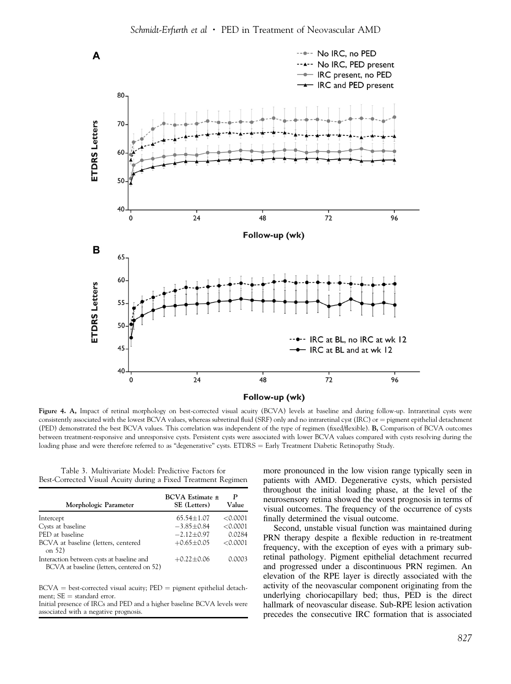<span id="page-5-0"></span>

Figure 4. A, Impact of retinal morphology on best-corrected visual acuity (BCVA) levels at baseline and during follow-up. Intraretinal cysts were consistently associated with the lowest BCVA values, whereas subretinal fluid (SRF) only and no intraretinal cyst (IRC) or  $=$  pigment epithelial detachment (PED) demonstrated the best BCVA values. This correlation was independent of the type of regimen (fixed/flexible). B, Comparison of BCVA outcomes between treatment-responsive and unresponsive cysts. Persistent cysts were associated with lower BCVA values compared with cysts resolving during the loading phase and were therefore referred to as "degenerative" cysts. ETDRS = Early Treatment Diabetic Retinopathy Study.

Table 3. Multivariate Model: Predictive Factors for Best-Corrected Visual Acuity during a Fixed Treatment Regimen

| Morphologic Parameter                                                                   | BCVA Estimate ±<br>SE (Letters) | P<br>Value |
|-----------------------------------------------------------------------------------------|---------------------------------|------------|
| Intercept                                                                               | $65.54 \pm 1.07$                | < 0.0001   |
| Cysts at baseline                                                                       | $-3.85\pm0.84$                  | < 0.0001   |
| PED at baseline                                                                         | $-2.12 \pm 0.97$                | 0.0284     |
| BCVA at baseline (letters, centered<br>on 52)                                           | $+0.65 \pm 0.05$                | < 0.0001   |
| Interaction between cysts at baseline and<br>BCVA at baseline (letters, centered on 52) | $+0.22 \pm 0.06$                | 0.0003     |

 $BCVA = best-corrected visual acuity; PED = pigment epithelial detach$ ment;  $SE =$  standard error.

Initial presence of IRCs and PED and a higher baseline BCVA levels were associated with a negative prognosis.

more pronounced in the low vision range typically seen in patients with AMD. Degenerative cysts, which persisted throughout the initial loading phase, at the level of the neurosensory retina showed the worst prognosis in terms of visual outcomes. The frequency of the occurrence of cysts finally determined the visual outcome.

Second, unstable visual function was maintained during PRN therapy despite a flexible reduction in re-treatment frequency, with the exception of eyes with a primary subretinal pathology. Pigment epithelial detachment recurred and progressed under a discontinuous PRN regimen. An elevation of the RPE layer is directly associated with the activity of the neovascular component originating from the underlying choriocapillary bed; thus, PED is the direct hallmark of neovascular disease. Sub-RPE lesion activation precedes the consecutive IRC formation that is associated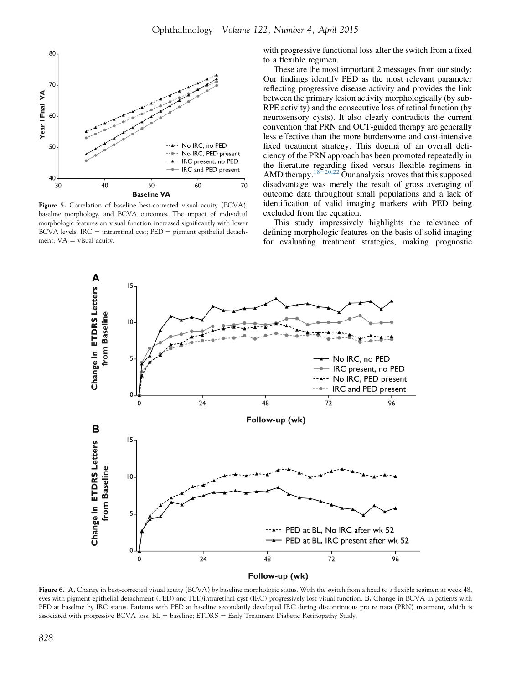<span id="page-6-0"></span>

Figure 5. Correlation of baseline best-corrected visual acuity (BCVA), baseline morphology, and BCVA outcomes. The impact of individual morphologic features on visual function increased significantly with lower BCVA levels. IRC = intraretinal cyst;  $PED$  = pigment epithelial detachment;  $VA =$  visual acuity.

with progressive functional loss after the switch from a fixed to a flexible regimen.

These are the most important 2 messages from our study: Our findings identify PED as the most relevant parameter reflecting progressive disease activity and provides the link between the primary lesion activity morphologically (by sub-RPE activity) and the consecutive loss of retinal function (by neurosensory cysts). It also clearly contradicts the current convention that PRN and OCT-guided therapy are generally less effective than the more burdensome and cost-intensive fixed treatment strategy. This dogma of an overall deficiency of the PRN approach has been promoted repeatedly in the literature regarding fixed versus flexible regimens in AMD therapy.  $18-20,22$  $18-20,22$  $18-20,22$  Our analysis proves that this supposed disadvantage was merely the result of gross averaging of outcome data throughout small populations and a lack of identification of valid imaging markers with PED being excluded from the equation.

This study impressively highlights the relevance of defining morphologic features on the basis of solid imaging for evaluating treatment strategies, making prognostic



Figure 6. A, Change in best-corrected visual acuity (BCVA) by baseline morphologic status. With the switch from a fixed to a flexible regimen at week 48, eyes with pigment epithelial detachment (PED) and PED/intraretinal cyst (IRC) progressively lost visual function. B, Change in BCVA in patients with PED at baseline by IRC status. Patients with PED at baseline secondarily developed IRC during discontinuous pro re nata (PRN) treatment, which is associated with progressive BCVA loss.  $BL =$  baseline;  $ETDRS =$  Early Treatment Diabetic Retinopathy Study.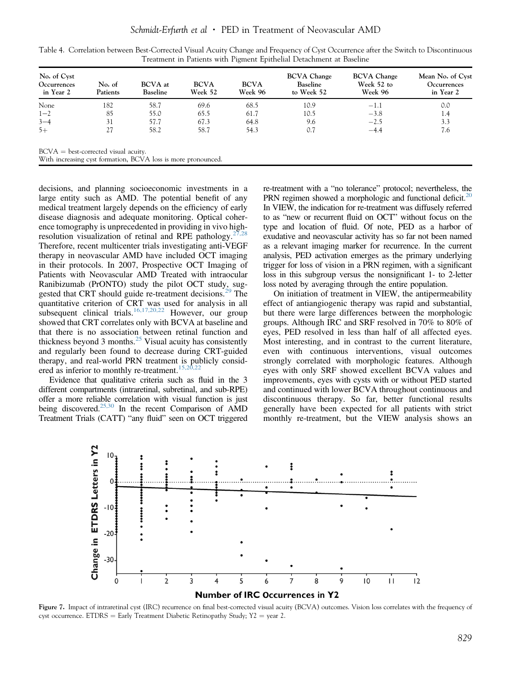| No. of Cyst<br>Occurrences<br>in Year 2 | No. of<br>Patients | <b>BCVA</b> at<br><b>Baseline</b>                             | <b>BCVA</b><br>Week 52 | <b>BCVA</b><br>Week 96 | <b>BCVA</b> Change<br><b>Baseline</b><br>to Week 52 | <b>BCVA</b> Change<br>Week 52 to<br>Week 96 | Mean No. of Cyst<br><b>Occurrences</b><br>in Year 2 |
|-----------------------------------------|--------------------|---------------------------------------------------------------|------------------------|------------------------|-----------------------------------------------------|---------------------------------------------|-----------------------------------------------------|
| None                                    | 182                | 58.7                                                          | 69.6                   | 68.5                   | 10.9                                                | $-1.1$                                      | 0.0                                                 |
| $1 - 2$                                 | 85                 | 55.0                                                          | 65.5                   | 61.7                   | 10.5                                                | $-3.8$                                      | 1.4                                                 |
| $3 - 4$                                 | 31                 | 57.7                                                          | 67.3                   | 64.8                   | 9.6                                                 | $-2.5$                                      | 3.3                                                 |
| $5+$                                    | 27                 | 58.2                                                          | 58.7                   | 54.3                   | 0.7                                                 | $-4.4$                                      | 7.6                                                 |
| $BCVA = best-corrected visual acuity.$  |                    | With increasing cyst formation, BCVA loss is more pronounced. |                        |                        |                                                     |                                             |                                                     |

<span id="page-7-0"></span>Table 4. Correlation between Best-Corrected Visual Acuity Change and Frequency of Cyst Occurrence after the Switch to Discontinuous Treatment in Patients with Pigment Epithelial Detachment at Baseline

decisions, and planning socioeconomic investments in a large entity such as AMD. The potential benefit of any medical treatment largely depends on the efficiency of early disease diagnosis and adequate monitoring. Optical coherence tomography is unprecedented in providing in vivo highresolution visualization of retinal and RPE pathology.<sup>2</sup> Therefore, recent multicenter trials investigating anti-VEGF therapy in neovascular AMD have included OCT imaging in their protocols. In 2007, Prospective OCT Imaging of Patients with Neovascular AMD Treated with intraocular Ranibizumab (PrONTO) study the pilot OCT study, sug-gested that CRT should guide re-treatment decisions.<sup>[29](#page-9-0)</sup> The quantitative criterion of CRT was used for analysis in all subsequent clinical trials.<sup>[16,17,20,22](#page-9-0)</sup> However, our group showed that CRT correlates only with BCVA at baseline and that there is no association between retinal function and thickness beyond 3 months.<sup>[25](#page-9-0)</sup> Visual acuity has consistently and regularly been found to decrease during CRT-guided therapy, and real-world PRN treatment is publicly consid-ered as inferior to monthly re-treatment.<sup>[15,20,22](#page-9-0)</sup>

Evidence that qualitative criteria such as fluid in the 3 different compartments (intraretinal, subretinal, and sub-RPE) offer a more reliable correlation with visual function is just being discovered.<sup>[25,30](#page-9-0)</sup> In the recent Comparison of AMD Treatment Trials (CATT) "any fluid" seen on OCT triggered re-treatment with a "no tolerance" protocol; nevertheless, the PRN regimen showed a morphologic and functional deficit.<sup>20</sup> In VIEW, the indication for re-treatment was diffusely referred to as "new or recurrent fluid on OCT" without focus on the type and location of fluid. Of note, PED as a harbor of exudative and neovascular activity has so far not been named as a relevant imaging marker for recurrence. In the current analysis, PED activation emerges as the primary underlying trigger for loss of vision in a PRN regimen, with a significant loss in this subgroup versus the nonsignificant 1- to 2-letter loss noted by averaging through the entire population.

On initiation of treatment in VIEW, the antipermeability effect of antiangiogenic therapy was rapid and substantial, but there were large differences between the morphologic groups. Although IRC and SRF resolved in 70% to 80% of eyes, PED resolved in less than half of all affected eyes. Most interesting, and in contrast to the current literature, even with continuous interventions, visual outcomes strongly correlated with morphologic features. Although eyes with only SRF showed excellent BCVA values and improvements, eyes with cysts with or without PED started and continued with lower BCVA throughout continuous and discontinuous therapy. So far, better functional results generally have been expected for all patients with strict monthly re-treatment, but the VIEW analysis shows an



Figure 7. Impact of intraretinal cyst (IRC) recurrence on final best-corrected visual acuity (BCVA) outcomes. Vision loss correlates with the frequency of cyst occurrence. ETDRS = Early Treatment Diabetic Retinopathy Study;  $Y2$  = year 2.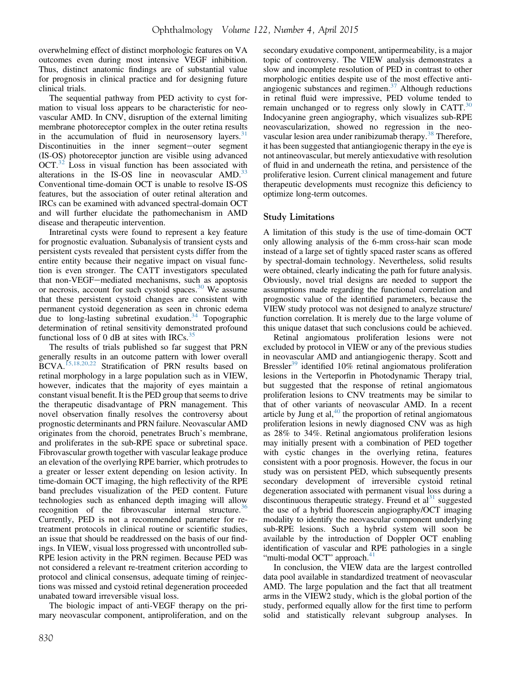overwhelming effect of distinct morphologic features on VA outcomes even during most intensive VEGF inhibition. Thus, distinct anatomic findings are of substantial value for prognosis in clinical practice and for designing future clinical trials.

The sequential pathway from PED activity to cyst formation to visual loss appears to be characteristic for neovascular AMD. In CNV, disruption of the external limiting membrane photoreceptor complex in the outer retina results in the accumulation of fluid in neurosensory layers. $31$ Discontinuities in the inner segment-outer segment (IS-OS) photoreceptor junction are visible using advanced OCT.<sup>[32](#page-10-0)</sup> Loss in visual function has been associated with alterations in the IS-OS line in neovascular  $AMD$ <sup>33</sup> Conventional time-domain OCT is unable to resolve IS-OS features, but the association of outer retinal alteration and IRCs can be examined with advanced spectral-domain OCT and will further elucidate the pathomechanism in AMD disease and therapeutic intervention.

Intraretinal cysts were found to represent a key feature for prognostic evaluation. Subanalysis of transient cysts and persistent cysts revealed that persistent cysts differ from the entire entity because their negative impact on visual function is even stronger. The CATT investigators speculated that non-VEGF-mediated mechanisms, such as apoptosis or necrosis, account for such cystoid spaces. $30$  We assume that these persistent cystoid changes are consistent with permanent cystoid degeneration as seen in chronic edema due to long-lasting subretinal exudation. $34$  Topographic determination of retinal sensitivity demonstrated profound functional loss of 0 dB at sites with IRCs. $3$ 

The results of trials published so far suggest that PRN generally results in an outcome pattern with lower overall BCVA.<sup>[15,18,20,22](#page-9-0)</sup> Stratification of PRN results based on retinal morphology in a large population such as in VIEW, however, indicates that the majority of eyes maintain a constant visual benefit. It is the PED group that seems to drive the therapeutic disadvantage of PRN management. This novel observation finally resolves the controversy about prognostic determinants and PRN failure. Neovascular AMD originates from the choroid, penetrates Bruch's membrane, and proliferates in the sub-RPE space or subretinal space. Fibrovascular growth together with vascular leakage produce an elevation of the overlying RPE barrier, which protrudes to a greater or lesser extent depending on lesion activity. In time-domain OCT imaging, the high reflectivity of the RPE band precludes visualization of the PED content. Future technologies such as enhanced depth imaging will allow recognition of the fibrovascular internal structure.<sup>[36](#page-10-0)</sup> Currently, PED is not a recommended parameter for retreatment protocols in clinical routine or scientific studies, an issue that should be readdressed on the basis of our findings. In VIEW, visual loss progressed with uncontrolled sub-RPE lesion activity in the PRN regimen. Because PED was not considered a relevant re-treatment criterion according to protocol and clinical consensus, adequate timing of reinjections was missed and cystoid retinal degeneration proceeded unabated toward irreversible visual loss.

The biologic impact of anti-VEGF therapy on the primary neovascular component, antiproliferation, and on the

secondary exudative component, antipermeability, is a major topic of controversy. The VIEW analysis demonstrates a slow and incomplete resolution of PED in contrast to other morphologic entities despite use of the most effective anti-angiogenic substances and regimen.<sup>[37](#page-10-0)</sup> Although reductions in retinal fluid were impressive, PED volume tended to remain unchanged or to regress only slowly in CATT.<sup>[30](#page-9-0)</sup> Indocyanine green angiography, which visualizes sub-RPE neovascularization, showed no regression in the neo-vascular lesion area under ranibizumab therapy.<sup>[38](#page-10-0)</sup> Therefore, it has been suggested that antiangiogenic therapy in the eye is not antineovascular, but merely antiexudative with resolution of fluid in and underneath the retina, and persistence of the proliferative lesion. Current clinical management and future therapeutic developments must recognize this deficiency to optimize long-term outcomes.

# Study Limitations

A limitation of this study is the use of time-domain OCT only allowing analysis of the 6-mm cross-hair scan mode instead of a large set of tightly spaced raster scans as offered by spectral-domain technology. Nevertheless, solid results were obtained, clearly indicating the path for future analysis. Obviously, novel trial designs are needed to support the assumptions made regarding the functional correlation and prognostic value of the identified parameters, because the VIEW study protocol was not designed to analyze structure/ function correlation. It is merely due to the large volume of this unique dataset that such conclusions could be achieved.

Retinal angiomatous proliferation lesions were not excluded by protocol in VIEW or any of the previous studies in neovascular AMD and antiangiogenic therapy. Scott and Bressler<sup>39</sup> identified 10% retinal angiomatous proliferation lesions in the Verteporfin in Photodynamic Therapy trial, but suggested that the response of retinal angiomatous proliferation lesions to CNV treatments may be similar to that of other variants of neovascular AMD. In a recent article by Jung et al, $40$  the proportion of retinal angiomatous proliferation lesions in newly diagnosed CNV was as high as 28% to 34%. Retinal angiomatous proliferation lesions may initially present with a combination of PED together with cystic changes in the overlying retina, features consistent with a poor prognosis. However, the focus in our study was on persistent PED, which subsequently presents secondary development of irreversible cystoid retinal degeneration associated with permanent visual loss during a discontinuous therapeutic strategy. Freund et  $al<sup>31</sup>$  suggested the use of a hybrid fluorescein angiography/OCT imaging modality to identify the neovascular component underlying sub-RPE lesions. Such a hybrid system will soon be available by the introduction of Doppler OCT enabling identification of vascular and RPE pathologies in a single "multi-modal OCT" approach.<sup>41</sup>

In conclusion, the VIEW data are the largest controlled data pool available in standardized treatment of neovascular AMD. The large population and the fact that all treatment arms in the VIEW2 study, which is the global portion of the study, performed equally allow for the first time to perform solid and statistically relevant subgroup analyses. In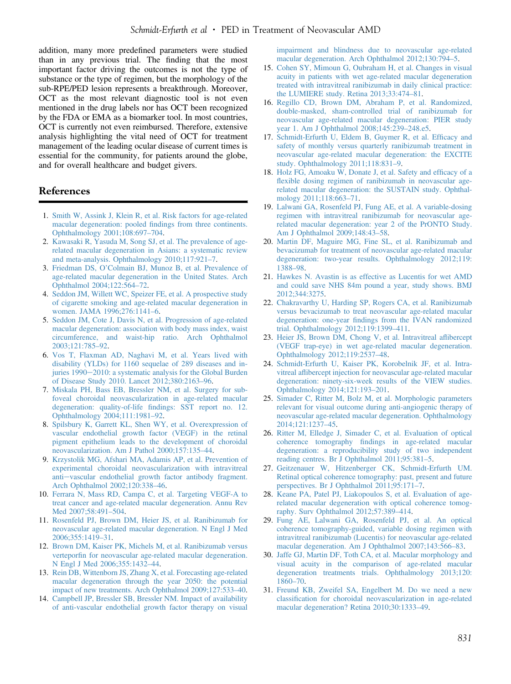<span id="page-9-0"></span>addition, many more predefined parameters were studied than in any previous trial. The finding that the most important factor driving the outcomes is not the type of substance or the type of regimen, but the morphology of the sub-RPE/PED lesion represents a breakthrough. Moreover, OCT as the most relevant diagnostic tool is not even mentioned in the drug labels nor has OCT been recognized by the FDA or EMA as a biomarker tool. In most countries, OCT is currently not even reimbursed. Therefore, extensive analysis highlighting the vital need of OCT for treatment management of the leading ocular disease of current times is essential for the community, for patients around the globe, and for overall healthcare and budget givers.

# References

- 1. [Smith W, Assink J, Klein R, et al. Risk factors for age-related](http://refhub.elsevier.com/S0161-6420(14)01090-2/sref1) [macular degeneration: pooled](http://refhub.elsevier.com/S0161-6420(14)01090-2/sref1) findings from three continents. [Ophthalmology 2001;108:697](http://refhub.elsevier.com/S0161-6420(14)01090-2/sref1)–704.
- 2. [Kawasaki R, Yasuda M, Song SJ, et al. The prevalence of age](http://refhub.elsevier.com/S0161-6420(14)01090-2/sref2)[related macular degeneration in Asians: a systematic review](http://refhub.elsevier.com/S0161-6420(14)01090-2/sref2) [and meta-analysis. Ophthalmology 2010;117:921](http://refhub.elsevier.com/S0161-6420(14)01090-2/sref2)–7.
- 3. Friedman DS, O'[Colmain BJ, Munoz B, et al. Prevalence of](http://refhub.elsevier.com/S0161-6420(14)01090-2/sref3) [age-related macular degeneration in the United States. Arch](http://refhub.elsevier.com/S0161-6420(14)01090-2/sref3) [Ophthalmol 2004;122:564](http://refhub.elsevier.com/S0161-6420(14)01090-2/sref3)–72.
- 4. [Seddon JM, Willett WC, Speizer FE, et al. A prospective study](http://refhub.elsevier.com/S0161-6420(14)01090-2/sref4) [of cigarette smoking and age-related macular degeneration in](http://refhub.elsevier.com/S0161-6420(14)01090-2/sref4) [women. JAMA 1996;276:1141](http://refhub.elsevier.com/S0161-6420(14)01090-2/sref4)–6.
- 5. [Seddon JM, Cote J, Davis N, et al. Progression of age-related](http://refhub.elsevier.com/S0161-6420(14)01090-2/sref5) [macular degeneration: association with body mass index, waist](http://refhub.elsevier.com/S0161-6420(14)01090-2/sref5) [circumference, and waist-hip ratio. Arch Ophthalmol](http://refhub.elsevier.com/S0161-6420(14)01090-2/sref5) [2003;121:785](http://refhub.elsevier.com/S0161-6420(14)01090-2/sref5)–92.
- 6. [Vos T, Flaxman AD, Naghavi M, et al. Years lived with](http://refhub.elsevier.com/S0161-6420(14)01090-2/sref6) [disability \(YLDs\) for 1160 sequelae of 289 diseases and in](http://refhub.elsevier.com/S0161-6420(14)01090-2/sref6)[juries 1990](http://refhub.elsevier.com/S0161-6420(14)01090-2/sref6)-[2010: a systematic analysis for the Global Burden](http://refhub.elsevier.com/S0161-6420(14)01090-2/sref6) [of Disease Study 2010. Lancet 2012;380:2163](http://refhub.elsevier.com/S0161-6420(14)01090-2/sref6)–96.
- 7. [Miskala PH, Bass EB, Bressler NM, et al. Surgery for sub](http://refhub.elsevier.com/S0161-6420(14)01090-2/sref7)[foveal choroidal neovascularization in age-related macular](http://refhub.elsevier.com/S0161-6420(14)01090-2/sref7) degeneration: quality-of-life fi[ndings: SST report no. 12.](http://refhub.elsevier.com/S0161-6420(14)01090-2/sref7) [Ophthalmology 2004;111:1981](http://refhub.elsevier.com/S0161-6420(14)01090-2/sref7)–92.
- 8. [Spilsbury K, Garrett KL, Shen WY, et al. Overexpression of](http://refhub.elsevier.com/S0161-6420(14)01090-2/sref8) [vascular endothelial growth factor \(VEGF\) in the retinal](http://refhub.elsevier.com/S0161-6420(14)01090-2/sref8) [pigment epithelium leads to the development of choroidal](http://refhub.elsevier.com/S0161-6420(14)01090-2/sref8) [neovascularization. Am J Pathol 2000;157:135](http://refhub.elsevier.com/S0161-6420(14)01090-2/sref8)–44.
- 9. [Krzystolik MG, Afshari MA, Adamis AP, et al. Prevention of](http://refhub.elsevier.com/S0161-6420(14)01090-2/sref9) [experimental choroidal neovascularization with intravitreal](http://refhub.elsevier.com/S0161-6420(14)01090-2/sref9) [anti](http://refhub.elsevier.com/S0161-6420(14)01090-2/sref9)-[vascular endothelial growth factor antibody fragment.](http://refhub.elsevier.com/S0161-6420(14)01090-2/sref9) [Arch Ophthalmol 2002;120:338](http://refhub.elsevier.com/S0161-6420(14)01090-2/sref9)–46.
- 10. [Ferrara N, Mass RD, Campa C, et al. Targeting VEGF-A to](http://refhub.elsevier.com/S0161-6420(14)01090-2/sref10) [treat cancer and age-related macular degeneration. Annu Rev](http://refhub.elsevier.com/S0161-6420(14)01090-2/sref10) [Med 2007;58:491](http://refhub.elsevier.com/S0161-6420(14)01090-2/sref10)–504.
- 11. [Rosenfeld PJ, Brown DM, Heier JS, et al. Ranibizumab for](http://refhub.elsevier.com/S0161-6420(14)01090-2/sref11) [neovascular age-related macular degeneration. N Engl J Med](http://refhub.elsevier.com/S0161-6420(14)01090-2/sref11) [2006;355:1419](http://refhub.elsevier.com/S0161-6420(14)01090-2/sref11)–31.
- 12. [Brown DM, Kaiser PK, Michels M, et al. Ranibizumab versus](http://refhub.elsevier.com/S0161-6420(14)01090-2/sref12) verteporfi[n for neovascular age-related macular degeneration.](http://refhub.elsevier.com/S0161-6420(14)01090-2/sref12) [N Engl J Med 2006;355:1432](http://refhub.elsevier.com/S0161-6420(14)01090-2/sref12)–44.
- 13. [Rein DB, Wittenborn JS, Zhang X, et al. Forecasting age-related](http://refhub.elsevier.com/S0161-6420(14)01090-2/sref13) [macular degeneration through the year 2050: the potential](http://refhub.elsevier.com/S0161-6420(14)01090-2/sref13) [impact of new treatments. Arch Ophthalmol 2009;127:533](http://refhub.elsevier.com/S0161-6420(14)01090-2/sref13)–40.
- 14. [Campbell JP, Bressler SB, Bressler NM. Impact of availability](http://refhub.elsevier.com/S0161-6420(14)01090-2/sref14) [of anti-vascular endothelial growth factor therapy on visual](http://refhub.elsevier.com/S0161-6420(14)01090-2/sref14)

[impairment and blindness due to neovascular age-related](http://refhub.elsevier.com/S0161-6420(14)01090-2/sref14) [macular degeneration. Arch Ophthalmol 2012;130:794](http://refhub.elsevier.com/S0161-6420(14)01090-2/sref14)–5.

- 15. [Cohen SY, Mimoun G, Oubraham H, et al. Changes in visual](http://refhub.elsevier.com/S0161-6420(14)01090-2/sref15) [acuity in patients with wet age-related macular degeneration](http://refhub.elsevier.com/S0161-6420(14)01090-2/sref15) [treated with intravitreal ranibizumab in daily clinical practice:](http://refhub.elsevier.com/S0161-6420(14)01090-2/sref15) [the LUMIERE study. Retina 2013;33:474](http://refhub.elsevier.com/S0161-6420(14)01090-2/sref15)–81.
- 16. [Regillo CD, Brown DM, Abraham P, et al. Randomized,](http://refhub.elsevier.com/S0161-6420(14)01090-2/sref16) [double-masked, sham-controlled trial of ranibizumab for](http://refhub.elsevier.com/S0161-6420(14)01090-2/sref16) [neovascular age-related macular degeneration: PIER study](http://refhub.elsevier.com/S0161-6420(14)01090-2/sref16) [year 1. Am J Ophthalmol 2008;145:239](http://refhub.elsevier.com/S0161-6420(14)01090-2/sref16)–248.e5.
- 17. [Schmidt-Erfurth U, Eldem B, Guymer R, et al. Ef](http://refhub.elsevier.com/S0161-6420(14)01090-2/sref17)ficacy and [safety of monthly versus quarterly ranibizumab treatment in](http://refhub.elsevier.com/S0161-6420(14)01090-2/sref17) [neovascular age-related macular degeneration: the EXCITE](http://refhub.elsevier.com/S0161-6420(14)01090-2/sref17) [study. Ophthalmology 2011;118:831](http://refhub.elsevier.com/S0161-6420(14)01090-2/sref17)–9.
- 18. [Holz FG, Amoaku W, Donate J, et al. Safety and ef](http://refhub.elsevier.com/S0161-6420(14)01090-2/sref18)ficacy of a fl[exible dosing regimen of ranibizumab in neovascular age](http://refhub.elsevier.com/S0161-6420(14)01090-2/sref18)[related macular degeneration: the SUSTAIN study. Ophthal](http://refhub.elsevier.com/S0161-6420(14)01090-2/sref18)[mology 2011;118:663](http://refhub.elsevier.com/S0161-6420(14)01090-2/sref18)–71.
- 19. [Lalwani GA, Rosenfeld PJ, Fung AE, et al. A variable-dosing](http://refhub.elsevier.com/S0161-6420(14)01090-2/sref19) [regimen with intravitreal ranibizumab for neovascular age](http://refhub.elsevier.com/S0161-6420(14)01090-2/sref19)[related macular degeneration: year 2 of the PrONTO Study.](http://refhub.elsevier.com/S0161-6420(14)01090-2/sref19) [Am J Ophthalmol 2009;148:43](http://refhub.elsevier.com/S0161-6420(14)01090-2/sref19)–58.
- 20. [Martin DF, Maguire MG, Fine SL, et al. Ranibizumab and](http://refhub.elsevier.com/S0161-6420(14)01090-2/sref20) [bevacizumab for treatment of neovascular age-related macular](http://refhub.elsevier.com/S0161-6420(14)01090-2/sref20) [degeneration: two-year results. Ophthalmology 2012;119:](http://refhub.elsevier.com/S0161-6420(14)01090-2/sref20) [1388](http://refhub.elsevier.com/S0161-6420(14)01090-2/sref20)–98.
- 21. [Hawkes N. Avastin is as effective as Lucentis for wet AMD](http://refhub.elsevier.com/S0161-6420(14)01090-2/sref21) [and could save NHS 84m pound a year, study shows. BMJ](http://refhub.elsevier.com/S0161-6420(14)01090-2/sref21) [2012;344:3275](http://refhub.elsevier.com/S0161-6420(14)01090-2/sref21).
- 22. [Chakravarthy U, Harding SP, Rogers CA, et al. Ranibizumab](http://refhub.elsevier.com/S0161-6420(14)01090-2/sref22) [versus bevacizumab to treat neovascular age-related macular](http://refhub.elsevier.com/S0161-6420(14)01090-2/sref22) degeneration: one-year fi[ndings from the IVAN randomized](http://refhub.elsevier.com/S0161-6420(14)01090-2/sref22) [trial. Ophthalmology 2012;119:1399](http://refhub.elsevier.com/S0161-6420(14)01090-2/sref22)–411.
- 23. [Heier JS, Brown DM, Chong V, et al. Intravitreal a](http://refhub.elsevier.com/S0161-6420(14)01090-2/sref23)flibercept [\(VEGF trap-eye\) in wet age-related macular degeneration.](http://refhub.elsevier.com/S0161-6420(14)01090-2/sref23) [Ophthalmology 2012;119:2537](http://refhub.elsevier.com/S0161-6420(14)01090-2/sref23)–48.
- 24. [Schmidt-Erfurth U, Kaiser PK, Korobelnik JF, et al. Intra](http://refhub.elsevier.com/S0161-6420(14)01090-2/sref24)vitreal afl[ibercept injection for neovascular age-related macular](http://refhub.elsevier.com/S0161-6420(14)01090-2/sref24) [degeneration: ninety-six-week results of the VIEW studies.](http://refhub.elsevier.com/S0161-6420(14)01090-2/sref24) [Ophthalmology 2014;121:193](http://refhub.elsevier.com/S0161-6420(14)01090-2/sref24)–201.
- 25. [Simader C, Ritter M, Bolz M, et al. Morphologic parameters](http://refhub.elsevier.com/S0161-6420(14)01090-2/sref25) [relevant for visual outcome during anti-angiogenic therapy of](http://refhub.elsevier.com/S0161-6420(14)01090-2/sref25) [neovascular age-related macular degeneration. Ophthalmology](http://refhub.elsevier.com/S0161-6420(14)01090-2/sref25) [2014;121:1237](http://refhub.elsevier.com/S0161-6420(14)01090-2/sref25)–45.
- 26. [Ritter M, Elledge J, Simader C, et al. Evaluation of optical](http://refhub.elsevier.com/S0161-6420(14)01090-2/sref26) coherence tomography fi[ndings in age-related macular](http://refhub.elsevier.com/S0161-6420(14)01090-2/sref26) [degeneration: a reproducibility study of two independent](http://refhub.elsevier.com/S0161-6420(14)01090-2/sref26) [reading centres. Br J Ophthalmol 2011;95:381](http://refhub.elsevier.com/S0161-6420(14)01090-2/sref26)–5.
- 27. [Geitzenauer W, Hitzenberger CK, Schmidt-Erfurth UM.](http://refhub.elsevier.com/S0161-6420(14)01090-2/sref27) [Retinal optical coherence tomography: past, present and future](http://refhub.elsevier.com/S0161-6420(14)01090-2/sref27) [perspectives. Br J Ophthalmol 2011;95:171](http://refhub.elsevier.com/S0161-6420(14)01090-2/sref27)–7.
- 28. [Keane PA, Patel PJ, Liakopoulos S, et al. Evaluation of age](http://refhub.elsevier.com/S0161-6420(14)01090-2/sref28)[related macular degeneration with optical coherence tomog](http://refhub.elsevier.com/S0161-6420(14)01090-2/sref28)[raphy. Surv Ophthalmol 2012;57:389](http://refhub.elsevier.com/S0161-6420(14)01090-2/sref28)–414.
- 29. [Fung AE, Lalwani GA, Rosenfeld PJ, et al. An optical](http://refhub.elsevier.com/S0161-6420(14)01090-2/sref29) [coherence tomography-guided, variable dosing regimen with](http://refhub.elsevier.com/S0161-6420(14)01090-2/sref29) [intravitreal ranibizumab \(Lucentis\) for neovascular age-related](http://refhub.elsevier.com/S0161-6420(14)01090-2/sref29) [macular degeneration. Am J Ophthalmol 2007;143:566](http://refhub.elsevier.com/S0161-6420(14)01090-2/sref29)–83.
- 30. [Jaffe GJ, Martin DF, Toth CA, et al. Macular morphology and](http://refhub.elsevier.com/S0161-6420(14)01090-2/sref30) [visual acuity in the comparison of age-related macular](http://refhub.elsevier.com/S0161-6420(14)01090-2/sref30) [degeneration treatments trials. Ophthalmology 2013;120:](http://refhub.elsevier.com/S0161-6420(14)01090-2/sref30) [1860](http://refhub.elsevier.com/S0161-6420(14)01090-2/sref30)–70.
- 31. [Freund KB, Zweifel SA, Engelbert M. Do we need a new](http://refhub.elsevier.com/S0161-6420(14)01090-2/sref31) classifi[cation for choroidal neovascularization in age-related](http://refhub.elsevier.com/S0161-6420(14)01090-2/sref31) [macular degeneration? Retina 2010;30:1333](http://refhub.elsevier.com/S0161-6420(14)01090-2/sref31)–49.